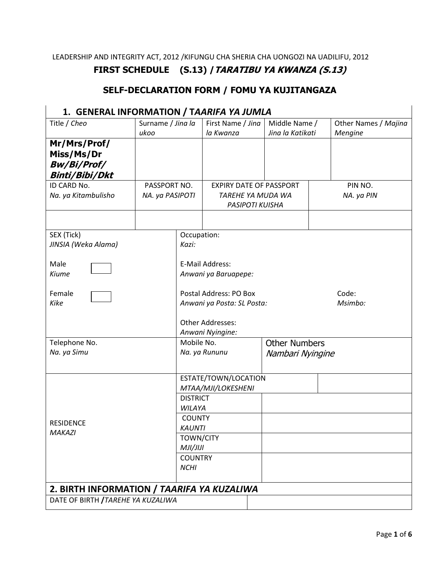LEADERSHIP AND INTEGRITY ACT, 2012 /KIFUNGU CHA SHERIA CHA UONGOZI NA UADILIFU, 2012

### **FIRST SCHEDULE (S.13) /TARATIBU YA KWANZA (S.13)**

### **SELF-DECLARATION FORM / FOMU YA KUJITANGAZA**

# **1. GENERAL INFORMATION / T***AARIFA YA JUMLA*

| Surname / Jina la                  | First Name / Jina                                                        | Middle Name /                                                                                                                                                                                                           | Other Names / Majina<br>Mengine                                                                |  |
|------------------------------------|--------------------------------------------------------------------------|-------------------------------------------------------------------------------------------------------------------------------------------------------------------------------------------------------------------------|------------------------------------------------------------------------------------------------|--|
|                                    |                                                                          |                                                                                                                                                                                                                         |                                                                                                |  |
|                                    |                                                                          |                                                                                                                                                                                                                         | PIN NO.                                                                                        |  |
| NA. ya PASIPOTI                    | TAREHE YA MUDA WA<br>PASIPOTI KUISHA                                     |                                                                                                                                                                                                                         | NA. ya PIN                                                                                     |  |
|                                    |                                                                          |                                                                                                                                                                                                                         |                                                                                                |  |
| Kazi:                              | Occupation:                                                              |                                                                                                                                                                                                                         |                                                                                                |  |
|                                    | E-Mail Address:<br>Anwani ya Baruapepe:                                  |                                                                                                                                                                                                                         |                                                                                                |  |
|                                    | Postal Address: PO Box<br>Code:<br>Msimbo:<br>Anwani ya Posta: SL Posta: |                                                                                                                                                                                                                         |                                                                                                |  |
|                                    |                                                                          |                                                                                                                                                                                                                         |                                                                                                |  |
|                                    | Mobile No.                                                               |                                                                                                                                                                                                                         |                                                                                                |  |
|                                    | Na. ya Rununu                                                            |                                                                                                                                                                                                                         |                                                                                                |  |
|                                    | ESTATE/TOWN/LOCATION<br>MTAA/MJI/LOKESHENI                               |                                                                                                                                                                                                                         |                                                                                                |  |
|                                    |                                                                          |                                                                                                                                                                                                                         |                                                                                                |  |
|                                    |                                                                          |                                                                                                                                                                                                                         |                                                                                                |  |
|                                    |                                                                          |                                                                                                                                                                                                                         |                                                                                                |  |
| <b>NCHI</b>                        |                                                                          |                                                                                                                                                                                                                         |                                                                                                |  |
|                                    |                                                                          |                                                                                                                                                                                                                         |                                                                                                |  |
| DATE OF BIRTH / TAREHE YA KUZALIWA |                                                                          |                                                                                                                                                                                                                         |                                                                                                |  |
|                                    | ukoo<br>PASSPORT NO.                                                     | la Kwanza<br>Other Addresses:<br>Anwani Nyingine:<br><b>DISTRICT</b><br><b>WILAYA</b><br><b>COUNTY</b><br><b>KAUNTI</b><br><b>TOWN/CITY</b><br>MJI/JIJI<br><b>COUNTRY</b><br>2. BIRTH INFORMATION / TAARIFA YA KUZALIWA | Jina la Katikati<br><b>EXPIRY DATE OF PASSPORT</b><br><b>Other Numbers</b><br>Nambari Nyingine |  |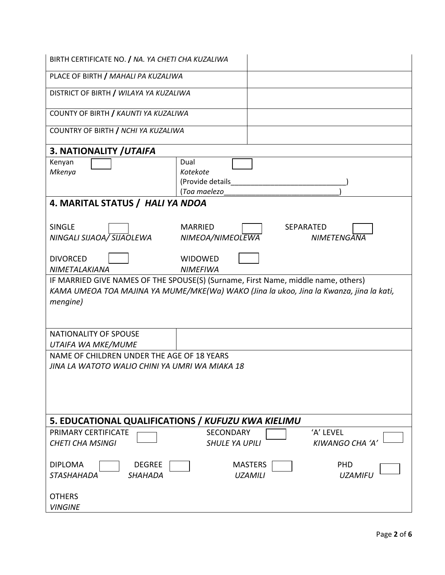| BIRTH CERTIFICATE NO. / NA. YA CHETI CHA KUZALIWA                                                                                                                                        |                                                      |                                  |                                        |
|------------------------------------------------------------------------------------------------------------------------------------------------------------------------------------------|------------------------------------------------------|----------------------------------|----------------------------------------|
| PLACE OF BIRTH / MAHALI PA KUZALIWA                                                                                                                                                      |                                                      |                                  |                                        |
| DISTRICT OF BIRTH / WILAYA YA KUZALIWA                                                                                                                                                   |                                                      |                                  |                                        |
| COUNTY OF BIRTH / KAUNTI YA KUZALIWA                                                                                                                                                     |                                                      |                                  |                                        |
| COUNTRY OF BIRTH / NCHI YA KUZALIWA                                                                                                                                                      |                                                      |                                  |                                        |
| 3. NATIONALITY / UTAIFA                                                                                                                                                                  |                                                      |                                  |                                        |
| Kenyan<br>Mkenya                                                                                                                                                                         | Dual<br>Kotekote<br>(Provide details<br>(Toa maelezo |                                  |                                        |
| 4. MARITAL STATUS / HALI YA NDOA                                                                                                                                                         |                                                      |                                  |                                        |
| <b>SINGLE</b><br>NINGALI SIJAOA/ SIJAOLEWA                                                                                                                                               | <b>MARRIED</b><br>NIMEOA/NIMEOLEWA                   |                                  | <b>SEPARATED</b><br><b>NIMETENGANA</b> |
| <b>DIVORCED</b><br>NIMETALAKIANA                                                                                                                                                         | <b>WIDOWED</b><br><b>NIMEFIWA</b>                    |                                  |                                        |
| IF MARRIED GIVE NAMES OF THE SPOUSE(S) (Surname, First Name, middle name, others)<br>KAMA UMEOA TOA MAJINA YA MUME/MKE(Wa) WAKO (Jina la ukoo, Jina la Kwanza, jina la kati,<br>mengine) |                                                      |                                  |                                        |
| NATIONALITY OF SPOUSE<br>UTAIFA WA MKE/MUME                                                                                                                                              |                                                      |                                  |                                        |
| NAME OF CHILDREN UNDER THE AGE OF 18 YEARS                                                                                                                                               |                                                      |                                  |                                        |
| JINA LA WATOTO WALIO CHINI YA UMRI WA MIAKA 18                                                                                                                                           |                                                      |                                  |                                        |
| 5. EDUCATIONAL QUALIFICATIONS / KUFUZU KWA KIELIMU                                                                                                                                       |                                                      |                                  |                                        |
| PRIMARY CERTIFICATE<br><b>CHETI CHA MSINGI</b>                                                                                                                                           | <b>SECONDARY</b><br><b>SHULE YA UPILI</b>            |                                  | 'A' LEVEL<br><b>KIWANGO CHA 'A</b>     |
| <b>DEGREE</b><br><b>DIPLOMA</b><br>STASHAHADA<br><b>SHAHADA</b>                                                                                                                          |                                                      | <b>MASTERS</b><br><b>UZAMILI</b> | <b>PHD</b><br><b>UZAMIFU</b>           |
| <b>OTHERS</b><br><b>VINGINE</b>                                                                                                                                                          |                                                      |                                  |                                        |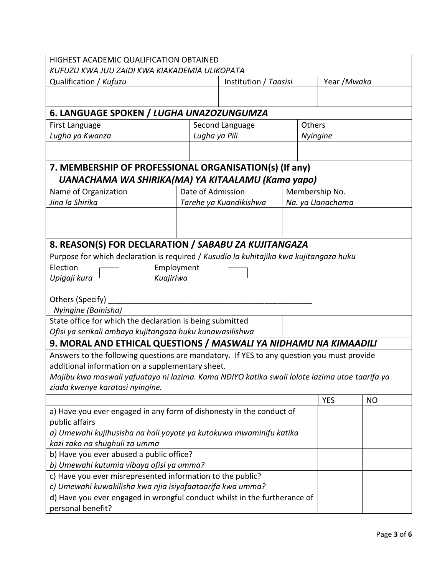## HIGHEST ACADEMIC QUALIFICATION OBTAINED

| KUFUZU KWA JUU ZAIDI KWA KIAKADEMIA ULIKOPATA                                                                                                 |                   |                        |  |                  |           |  |
|-----------------------------------------------------------------------------------------------------------------------------------------------|-------------------|------------------------|--|------------------|-----------|--|
| Qualification / Kufuzu                                                                                                                        |                   | Institution / Taasisi  |  | Year /Mwaka      |           |  |
|                                                                                                                                               |                   |                        |  |                  |           |  |
|                                                                                                                                               |                   |                        |  |                  |           |  |
| 6. LANGUAGE SPOKEN / LUGHA UNAZOZUNGUMZA                                                                                                      |                   |                        |  |                  |           |  |
| First Language                                                                                                                                |                   | Second Language        |  | Others           |           |  |
| Lugha ya Kwanza                                                                                                                               |                   | Lugha ya Pili          |  | <b>Nyingine</b>  |           |  |
|                                                                                                                                               |                   |                        |  |                  |           |  |
| 7. MEMBERSHIP OF PROFESSIONAL ORGANISATION(s) (If any)                                                                                        |                   |                        |  |                  |           |  |
| UANACHAMA WA SHIRIKA(MA) YA KITAALAMU (Kama yapo)                                                                                             |                   |                        |  |                  |           |  |
| Name of Organization                                                                                                                          | Date of Admission |                        |  | Membership No.   |           |  |
| Jina la Shirika                                                                                                                               |                   | Tarehe ya Kuandikishwa |  | Na. ya Uanachama |           |  |
|                                                                                                                                               |                   |                        |  |                  |           |  |
|                                                                                                                                               |                   |                        |  |                  |           |  |
|                                                                                                                                               |                   |                        |  |                  |           |  |
| 8. REASON(S) FOR DECLARATION / SABABU ZA KUJITANGAZA                                                                                          |                   |                        |  |                  |           |  |
| Purpose for which declaration is required / Kusudio la kuhitajika kwa kujitangaza huku                                                        |                   |                        |  |                  |           |  |
| Election                                                                                                                                      | Employment        |                        |  |                  |           |  |
| Kuajiriwa<br>Upigaji kura                                                                                                                     |                   |                        |  |                  |           |  |
|                                                                                                                                               |                   |                        |  |                  |           |  |
| Others (Specify)                                                                                                                              |                   |                        |  |                  |           |  |
| Nyingine (Bainisha)                                                                                                                           |                   |                        |  |                  |           |  |
| State office for which the declaration is being submitted                                                                                     |                   |                        |  |                  |           |  |
| Ofisi ya serikali ambayo kujitangaza huku kunawasilishwa                                                                                      |                   |                        |  |                  |           |  |
| 9. MORAL AND ETHICAL QUESTIONS / MASWALI YA NIDHAMU NA KIMAADILI                                                                              |                   |                        |  |                  |           |  |
|                                                                                                                                               |                   |                        |  |                  |           |  |
| Answers to the following questions are mandatory. If YES to any question you must provide<br>additional information on a supplementary sheet. |                   |                        |  |                  |           |  |
| Majibu kwa maswali yafuatayo ni lazima. Kama NDIYO katika swali lolote lazima utoe taarifa ya                                                 |                   |                        |  |                  |           |  |
| ziada kwenye karatasi nyingine.                                                                                                               |                   |                        |  |                  |           |  |
|                                                                                                                                               |                   |                        |  | <b>YES</b>       | <b>NO</b> |  |
| a) Have you ever engaged in any form of dishonesty in the conduct of                                                                          |                   |                        |  |                  |           |  |
| public affairs                                                                                                                                |                   |                        |  |                  |           |  |
|                                                                                                                                               |                   |                        |  |                  |           |  |
| a) Umewahi kujihusisha na hali yoyote ya kutokuwa mwaminifu katika<br>kazi zako na shughuli za umma                                           |                   |                        |  |                  |           |  |
| b) Have you ever abused a public office?                                                                                                      |                   |                        |  |                  |           |  |
| b) Umewahi kutumia vibaya ofisi ya umma?                                                                                                      |                   |                        |  |                  |           |  |
| c) Have you ever misrepresented information to the public?                                                                                    |                   |                        |  |                  |           |  |
| c) Umewahi kuwakilisha kwa njia isiyofaataarifa kwa umma?                                                                                     |                   |                        |  |                  |           |  |
| d) Have you ever engaged in wrongful conduct whilst in the furtherance of                                                                     |                   |                        |  |                  |           |  |
|                                                                                                                                               |                   |                        |  |                  |           |  |

 $\overline{\phantom{a}}$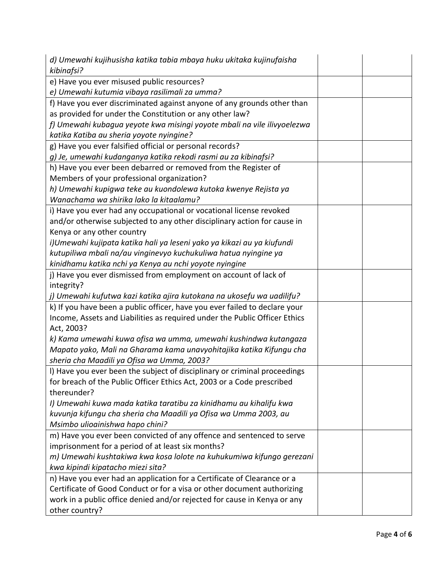| d) Umewahi kujihusisha katika tabia mbaya huku ukitaka kujinufaisha<br>kibinafsi? |  |
|-----------------------------------------------------------------------------------|--|
| e) Have you ever misused public resources?                                        |  |
| e) Umewahi kutumia vibaya rasilimali za umma?                                     |  |
| f) Have you ever discriminated against anyone of any grounds other than           |  |
| as provided for under the Constitution or any other law?                          |  |
| f) Umewahi kubagua yeyote kwa misingi yoyote mbali na vile ilivyoelezwa           |  |
| katika Katiba au sheria yoyote nyingine?                                          |  |
| g) Have you ever falsified official or personal records?                          |  |
| g) Je, umewahi kudanganya katika rekodi rasmi au za kibinafsi?                    |  |
| h) Have you ever been debarred or removed from the Register of                    |  |
| Members of your professional organization?                                        |  |
| h) Umewahi kupigwa teke au kuondolewa kutoka kwenye Rejista ya                    |  |
| Wanachama wa shirika lako la kitaalamu?                                           |  |
| i) Have you ever had any occupational or vocational license revoked               |  |
| and/or otherwise subjected to any other disciplinary action for cause in          |  |
| Kenya or any other country                                                        |  |
| i)Umewahi kujipata katika hali ya leseni yako ya kikazi au ya kiufundi            |  |
| kutupiliwa mbali na/au vinginevyo kuchukuliwa hatua nyingine ya                   |  |
| kinidhamu katika nchi ya Kenya au nchi yoyote nyingine                            |  |
| j) Have you ever dismissed from employment on account of lack of                  |  |
| integrity?                                                                        |  |
| j) Umewahi kufutwa kazi katika ajira kutokana na ukosefu wa uadilifu?             |  |
| k) If you have been a public officer, have you ever failed to declare your        |  |
| Income, Assets and Liabilities as required under the Public Officer Ethics        |  |
| Act, 2003?                                                                        |  |
| k) Kama umewahi kuwa ofisa wa umma, umewahi kushindwa kutangaza                   |  |
| Mapato yako, Mali na Gharama kama unavyohitajika katika Kifungu cha               |  |
| sheria cha Maadili ya Ofisa wa Umma, 2003?                                        |  |
| I) Have you ever been the subject of disciplinary or criminal proceedings         |  |
| for breach of the Public Officer Ethics Act, 2003 or a Code prescribed            |  |
| thereunder?                                                                       |  |
| I) Umewahi kuwa mada katika taratibu za kinidhamu au kihalifu kwa                 |  |
| kuvunja kifungu cha sheria cha Maadili ya Ofisa wa Umma 2003, au                  |  |
| Msimbo ulioainishwa hapo chini?                                                   |  |
| m) Have you ever been convicted of any offence and sentenced to serve             |  |
| imprisonment for a period of at least six months?                                 |  |
| m) Umewahi kushtakiwa kwa kosa lolote na kuhukumiwa kifungo gerezani              |  |
| kwa kipindi kipatacho miezi sita?                                                 |  |
| n) Have you ever had an application for a Certificate of Clearance or a           |  |
| Certificate of Good Conduct or for a visa or other document authorizing           |  |
| work in a public office denied and/or rejected for cause in Kenya or any          |  |
| other country?                                                                    |  |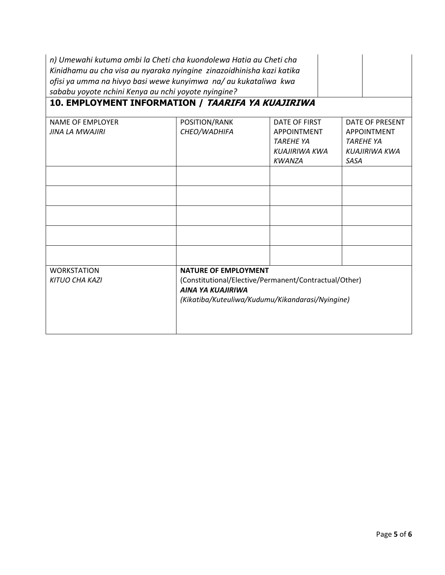| n) Umewahi kutuma ombi la Cheti cha kuondolewa Hatia au Cheti cha<br>Kinidhamu au cha visa au nyaraka nyingine zinazoidhinisha kazi katika<br>ofisi ya umma na hivyo basi wewe kunyimwa na/ au kukataliwa kwa<br>sababu yoyote nchini Kenya au nchi yoyote nyingine?<br>10. EMPLOYMENT INFORMATION / TAARIFA YA KUAJIRIWA |                                                                                                                                                                      |                                                                                           |                                                                                           |  |  |
|---------------------------------------------------------------------------------------------------------------------------------------------------------------------------------------------------------------------------------------------------------------------------------------------------------------------------|----------------------------------------------------------------------------------------------------------------------------------------------------------------------|-------------------------------------------------------------------------------------------|-------------------------------------------------------------------------------------------|--|--|
| <b>NAME OF EMPLOYER</b><br><b>JINA LA MWAJIRI</b>                                                                                                                                                                                                                                                                         | POSITION/RANK<br>CHEO/WADHIFA                                                                                                                                        | DATE OF FIRST<br><b>APPOINTMENT</b><br><b>TARFHF YA</b><br>KUAJIRIWA KWA<br><b>KWANZA</b> | DATE OF PRESENT<br><b>APPOINTMENT</b><br><b>TAREHE YA</b><br>KUAJIRIWA KWA<br><b>SASA</b> |  |  |
|                                                                                                                                                                                                                                                                                                                           |                                                                                                                                                                      |                                                                                           |                                                                                           |  |  |
|                                                                                                                                                                                                                                                                                                                           |                                                                                                                                                                      |                                                                                           |                                                                                           |  |  |
|                                                                                                                                                                                                                                                                                                                           |                                                                                                                                                                      |                                                                                           |                                                                                           |  |  |
|                                                                                                                                                                                                                                                                                                                           |                                                                                                                                                                      |                                                                                           |                                                                                           |  |  |
| <b>WORKSTATION</b><br><b>KITUO CHA KAZI</b>                                                                                                                                                                                                                                                                               | <b>NATURE OF EMPLOYMENT</b><br>(Constitutional/Elective/Permanent/Contractual/Other)<br><b>AINA YA KUAJIRIWA</b><br>(Kikatiba/Kuteuliwa/Kudumu/Kikandarasi/Nyingine) |                                                                                           |                                                                                           |  |  |